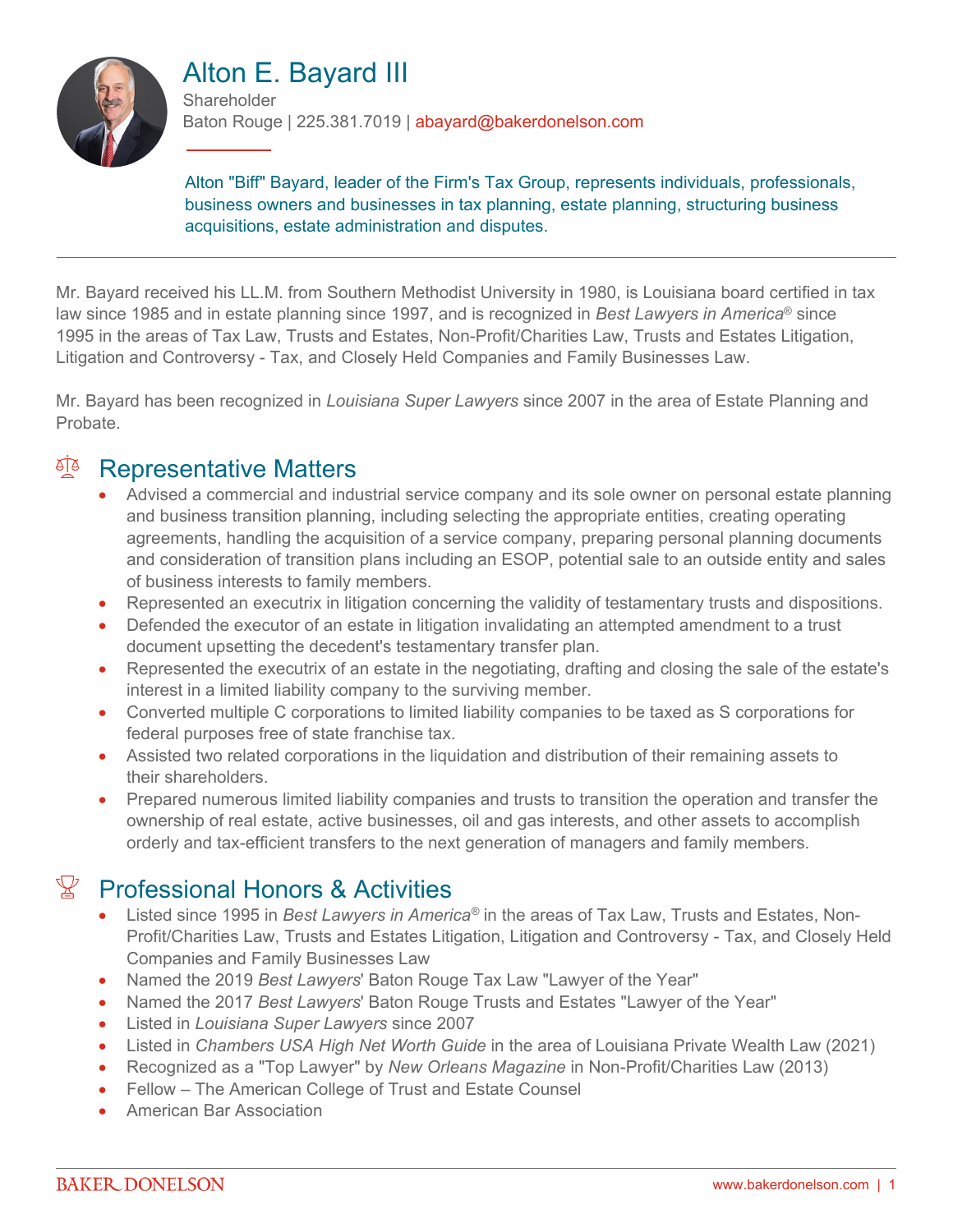

# Alton E. Bayard III

**Shareholder** Baton Rouge | 225.381.7019 | abayard@bakerdonelson.com

Alton "Biff" Bayard, leader of the Firm's Tax Group, represents individuals, professionals, business owners and businesses in tax planning, estate planning, structuring business acquisitions, estate administration and disputes.

Mr. Bayard received his LL.M. from Southern Methodist University in 1980, is Louisiana board certified in tax law since 1985 and in estate planning since 1997, and is recognized in *Best Lawyers in America*® since 1995 in the areas of Tax Law, Trusts and Estates, Non-Profit/Charities Law, Trusts and Estates Litigation, Litigation and Controversy - Tax, and Closely Held Companies and Family Businesses Law.

Mr. Bayard has been recognized in *Louisiana Super Lawyers* since 2007 in the area of Estate Planning and Probate.

# <sup>A</sup> Representative Matters

- Advised a commercial and industrial service company and its sole owner on personal estate planning and business transition planning, including selecting the appropriate entities, creating operating agreements, handling the acquisition of a service company, preparing personal planning documents and consideration of transition plans including an ESOP, potential sale to an outside entity and sales of business interests to family members.
- Represented an executrix in litigation concerning the validity of testamentary trusts and dispositions.
- Defended the executor of an estate in litigation invalidating an attempted amendment to a trust document upsetting the decedent's testamentary transfer plan.
- Represented the executrix of an estate in the negotiating, drafting and closing the sale of the estate's interest in a limited liability company to the surviving member.
- Converted multiple C corporations to limited liability companies to be taxed as S corporations for federal purposes free of state franchise tax.
- Assisted two related corporations in the liquidation and distribution of their remaining assets to their shareholders.
- Prepared numerous limited liability companies and trusts to transition the operation and transfer the ownership of real estate, active businesses, oil and gas interests, and other assets to accomplish orderly and tax-efficient transfers to the next generation of managers and family members.

# $\mathbb{R}$  Professional Honors & Activities

- Listed since 1995 in *Best Lawyers in America®* in the areas of Tax Law, Trusts and Estates, Non-Profit/Charities Law, Trusts and Estates Litigation, Litigation and Controversy - Tax, and Closely Held Companies and Family Businesses Law
- Named the 2019 *Best Lawyers*' Baton Rouge Tax Law "Lawyer of the Year"
- Named the 2017 *Best Lawyers*' Baton Rouge Trusts and Estates "Lawyer of the Year"
- Listed in *Louisiana Super Lawyers* since 2007
- Listed in *Chambers USA High Net Worth Guide* in the area of Louisiana Private Wealth Law (2021)
- Recognized as a "Top Lawyer" by *New Orleans Magazine* in Non-Profit/Charities Law (2013)
- Fellow The American College of Trust and Estate Counsel
- American Bar Association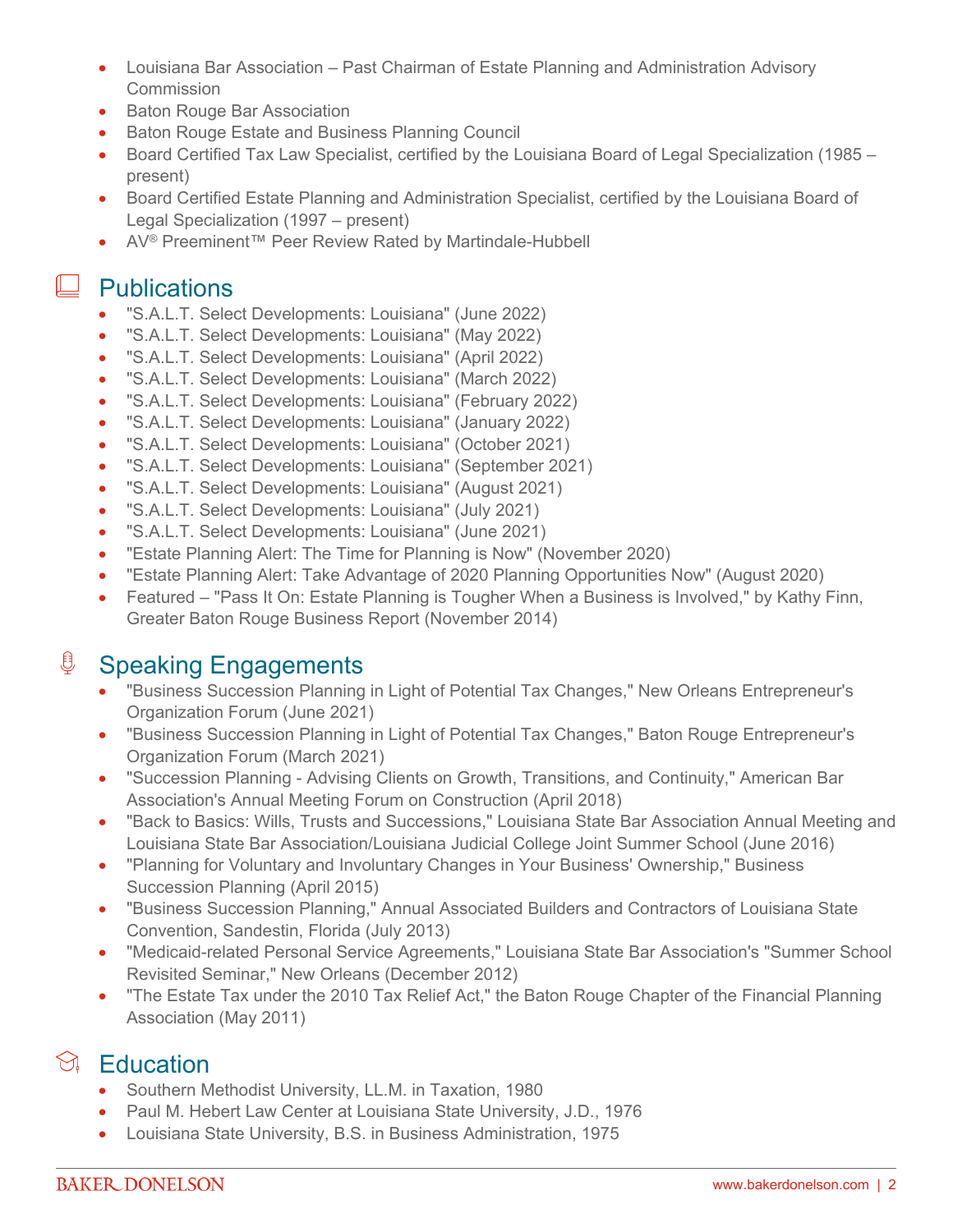- Louisiana Bar Association Past Chairman of Estate Planning and Administration Advisory **Commission**
- Baton Rouge Bar Association
- **Baton Rouge Estate and Business Planning Council**
- Board Certified Tax Law Specialist, certified by the Louisiana Board of Legal Specialization (1985 present)
- Board Certified Estate Planning and Administration Specialist, certified by the Louisiana Board of Legal Specialization (1997 – present)
- AV® Preeminent™ Peer Review Rated by Martindale-Hubbell

#### **L** Publications

- "S.A.L.T. Select Developments: Louisiana" (June 2022)
- "S.A.L.T. Select Developments: Louisiana" (May 2022)
- "S.A.L.T. Select Developments: Louisiana" (April 2022)
- "S.A.L.T. Select Developments: Louisiana" (March 2022)
- "S.A.L.T. Select Developments: Louisiana" (February 2022)
- "S.A.L.T. Select Developments: Louisiana" (January 2022)
- "S.A.L.T. Select Developments: Louisiana" (October 2021)
- "S.A.L.T. Select Developments: Louisiana" (September 2021)
- "S.A.L.T. Select Developments: Louisiana" (August 2021)
- "S.A.L.T. Select Developments: Louisiana" (July 2021)
- "S.A.L.T. Select Developments: Louisiana" (June 2021)
- "Estate Planning Alert: The Time for Planning is Now" (November 2020)
- "Estate Planning Alert: Take Advantage of 2020 Planning Opportunities Now" (August 2020)
- Featured "Pass It On: Estate Planning is Tougher When a Business is Involved," by Kathy Finn, Greater Baton Rouge Business Report (November 2014)

## **<u><b>Speaking Engagements**</u>

- "Business Succession Planning in Light of Potential Tax Changes," New Orleans Entrepreneur's Organization Forum (June 2021)
- "Business Succession Planning in Light of Potential Tax Changes," Baton Rouge Entrepreneur's Organization Forum (March 2021)
- "Succession Planning Advising Clients on Growth, Transitions, and Continuity," American Bar Association's Annual Meeting Forum on Construction (April 2018)
- "Back to Basics: Wills, Trusts and Successions," Louisiana State Bar Association Annual Meeting and Louisiana State Bar Association/Louisiana Judicial College Joint Summer School (June 2016)
- "Planning for Voluntary and Involuntary Changes in Your Business' Ownership," Business Succession Planning (April 2015)
- "Business Succession Planning," Annual Associated Builders and Contractors of Louisiana State Convention, Sandestin, Florida (July 2013)
- "Medicaid-related Personal Service Agreements," Louisiana State Bar Association's "Summer School Revisited Seminar," New Orleans (December 2012)
- "The Estate Tax under the 2010 Tax Relief Act," the Baton Rouge Chapter of the Financial Planning Association (May 2011)

## $\Im$  Education

- Southern Methodist University, LL.M. in Taxation, 1980
- Paul M. Hebert Law Center at Louisiana State University, J.D., 1976
- Louisiana State University, B.S. in Business Administration, 1975